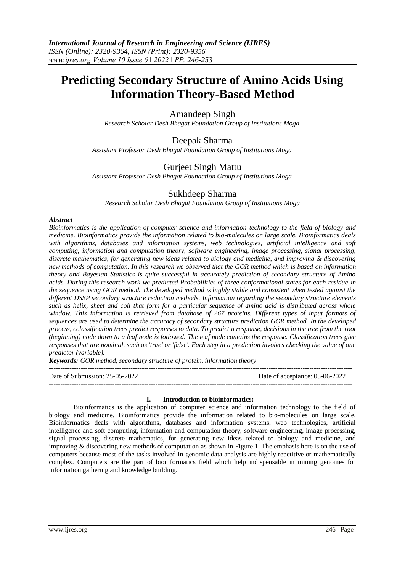# **Predicting Secondary Structure of Amino Acids Using Information Theory-Based Method**

# Amandeep Singh

*Research Scholar Desh Bhagat Foundation Group of Institutions Moga*

## Deepak Sharma

*Assistant Professor Desh Bhagat Foundation Group of Institutions Moga*

# Gurjeet Singh Mattu

*Assistant Professor Desh Bhagat Foundation Group of Institutions Moga*

# Sukhdeep Sharma

*Research Scholar Desh Bhagat Foundation Group of Institutions Moga*

## *Abstract*

*Bioinformatics is the application of computer science and information technology to the field of biology and medicine. Bioinformatics provide the information related to bio-molecules on large scale. Bioinformatics deals*  with algorithms, databases and information systems, web technologies, artificial intelligence and soft *computing, information and computation theory, software engineering, image processing, signal processing, discrete mathematics, for generating new ideas related to biology and medicine, and improving & discovering new methods of computation. In this research we observed that the GOR method which is based on information theory and Bayesian Statistics is quite successful in accurately prediction of secondary structure of Amino acids. During this research work we predicted Probabilities of three conformational states for each residue in the sequence using GOR method. The developed method is highly stable and consistent when tested against the different DSSP secondary structure reduction methods. Information regarding the secondary structure elements such as helix, sheet and coil that form for a particular sequence of amino acid is distributed across whole window. This information is retrieved from database of 267 proteins. Different types of input formats of sequences are used to determine the accuracy of secondary structure prediction GOR method. In the developed process, cclassification trees predict responses to data. To predict a response, decisions in the tree from the root (beginning) node down to a leaf node is followed. The leaf node contains the response. Classification trees give responses that are nominal, such as 'true' or 'false'. Each step in a prediction involves checking the value of one predictor (variable).* 

*Keywords: GOR method, secondary structure of protein, information theory*

| Date of Submission: 25-05-2022 | Date of acceptance: 05-06-2022 |
|--------------------------------|--------------------------------|
|                                |                                |

## **I. Introduction to bioinformatics:**

Bioinformatics is the application of computer science and information technology to the field of biology and medicine. Bioinformatics provide the information related to bio-molecules on large scale. Bioinformatics deals with algorithms, databases and information systems, web technologies, artificial intelligence and soft computing, information and computation theory, software engineering, image processing, signal processing, discrete mathematics, for generating new ideas related to biology and medicine, and improving & discovering new methods of computation as shown in Figure 1. The emphasis here is on the use of computers because most of the tasks involved in genomic data analysis are highly repetitive or mathematically complex. Computers are the part of bioinformatics field which help indispensable in mining genomes for information gathering and knowledge building.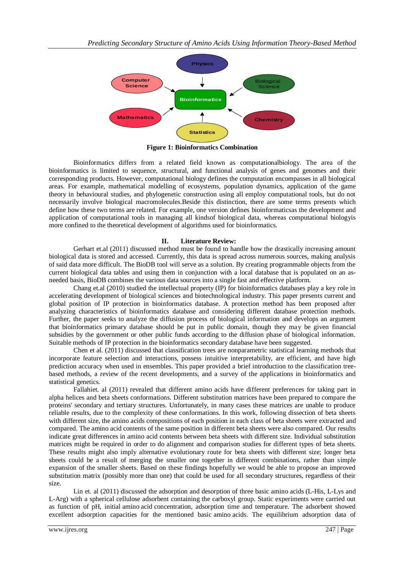

**Figure 1: Bioinformatics Combination**

Bioinformatics differs from a related field known as computationalbiology. The area of the bioinformatics is limited to sequence, structural, and functional analysis of genes and genomes and their corresponding products. However, computational biology defines the computation encompasses in all biological areas. For example, mathematical modelling of ecosystems, population dynamics, application of the game theory in behavioural studies, and phylogenetic construction using all employ computational tools, but do not necessarily involve biological macromolecules.Beside this distinction, there are some terms presents which define how these two terms are related. For example, one version defines bioinformaticsas the development and application of computational tools in managing all kindsof biological data, whereas computational biologyis more confined to the theoretical development of algorithms used for bioinformatics.

## **II. Literature Review:**

Gerhart et.al (2011) discussed method must be found to handle how the drastically increasing amount biological data is stored and accessed. Currently, this data is spread across numerous sources, making analysis of said data more difficult. The BioDB tool will serve as a solution. By creating programmable objects from the current biological data tables and using them in conjunction with a local database that is populated on an asneeded basis, BioDB combines the various data sources into a single fast and effective platform.

Chang et.al (2010) studied the intellectual property (IP) for bioinformatics databases play a key role in accelerating development of biological sciences and biotechnological industry. This paper presents current and global position of IP protection in bioinformatics database. A protection method has been proposed after analyzing characteristics of bioinformatics database and considering different database protection methods. Further, the paper seeks to analyze the diffusion process of biological information and develops an argument that bioinformatics primary database should be put in public domain, though they may be given financial subsidies by the government or other public funds according to the diffusion phase of biological information. Suitable methods of IP protection in the bioinformatics secondary database have been suggested.

Chen et al. (2011) discussed that classification trees are nonparametric statistical learning methods that incorporate feature selection and interactions, possess intuitive interpretability, are efficient, and have high prediction accuracy when used in ensembles. This paper provided a brief introduction to the classification treebased methods, a review of the recent developments, and a survey of the applications in bioinformatics and statistical genetics.

Fallahiet. al (2011) revealed that different amino acids have different preferences for taking part in alpha helices and beta sheets conformations. Different substitution matrices have been prepared to compare the proteins' secondary and tertiary structures. Unfortunately, in many cases these matrices are unable to produce reliable results, due to the complexity of these conformations. In this work, following dissection of beta sheets with different size, the amino acids compositions of each position in each class of beta sheets were extracted and compared. The amino acid contents of the same position in different beta sheets were also compared. Our results indicate great differences in amino acid contents between beta sheets with different size. Individual substitution matrices might be required in order to do alignment and comparison studies for different types of beta sheets. These results might also imply alternative evolutionary route for beta sheets with different size; longer beta sheets could be a result of merging the smaller one together in different combinations, rather than simple expansion of the smaller sheets. Based on these findings hopefully we would be able to propose an improved substitution matrix (possibly more than one) that could be used for all secondary structures, regardless of their size.

Lin et. al (2011) discussed the adsorption and desorption of three basic amino acids (L-His, L-Lys and L-Arg) with a spherical cellulose adsorbent containing the carboxyl group. Static experiments were carried out as function of pH, initial amino acid concentration, adsorption time and temperature. The adsorbent showed excellent adsorption capacities for the mentioned basic amino acids. The equilibrium adsorption data of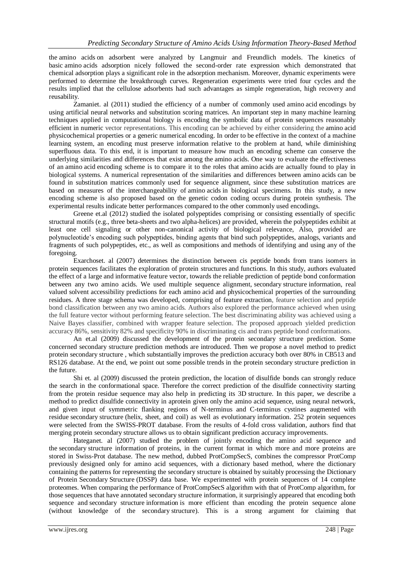the amino acids on adsorbent were analyzed by Langmuir and Freundlich models. The kinetics of basic amino acids adsorption nicely followed the second-order rate expression which demonstrated that chemical adsorption plays a significant role in the adsorption mechanism. Moreover, dynamic experiments were performed to determine the breakthrough curves. Regeneration experiments were tried four cycles and the results implied that the cellulose adsorbents had such advantages as simple regeneration, high recovery and reusability.

Zamaniet. al (2011) studied the efficiency of a number of commonly used amino acid encodings by using artificial neural networks and substitution scoring matrices. An important step in many machine learning techniques applied in computational biology is encoding the symbolic data of protein sequences reasonably efficient in numeric vector representations. This encoding can be achieved by either considering the amino acid physicochemical properties or a generic numerical encoding. In order to be effective in the context of a machine learning system, an encoding must preserve information relative to the problem at hand, while diminishing superfluous data. To this end, it is important to measure how much an encoding scheme can conserve the underlying similarities and differences that exist among the amino acids. One way to evaluate the effectiveness of an amino acid encoding scheme is to compare it to the roles that amino acids are actually found to play in biological systems. A numerical representation of the similarities and differences between amino acids can be found in substitution matrices commonly used for sequence alignment, since these substitution matrices are based on measures of the interchangeability of amino acids in biological specimens. In this study, a new encoding scheme is also proposed based on the genetic codon coding occurs during protein synthesis. The experimental results indicate better performances compared to the other commonly used encodings.

Greene et.al (2012) studied the isolated polypeptides comprising or consisting essentially of specific structural motifs (e.g., three beta-sheets and two alpha-helices) are provided, wherein the polypeptides exhibit at least one cell signaling or other non-canonical activity of biological relevance, Also, provided are polynucleotide's encoding such polypeptides, binding agents that bind such polypeptides, analogs, variants and fragments of such polypeptides, etc., as well as compositions and methods of identifying and using any of the foregoing.

Exarchoset. al (2007) determines the distinction between cis peptide bonds from trans isomers in protein sequences facilitates the exploration of protein structures and functions. In this study, authors evaluated the effect of a large and informative feature vector, towards the reliable prediction of peptide bond conformation between any two amino acids. We used multiple sequence alignment, secondary structure information, real valued solvent accessibility predictions for each amino acid and physicochemical properties of the surrounding residues. A three stage schema was developed, comprising of feature extraction, feature selection and peptide bond classification between any two amino acids. Authors also explored the performance achieved when using the full feature vector without performing feature selection. The best discriminating ability was achieved using a Naive Bayes classifier, combined with wrapper feature selection. The proposed approach yielded prediction accuracy 86%, sensitivity 82% and specificity 90% in discriminating cis and trans peptide bond conformations.

An et.al (2009) discussed the development of the protein secondary structure prediction. Some concerned secondary structure prediction methods are introduced. Then we propose a novel method to predict protein secondary structure , which substantially improves the prediction accuracy both over 80% in CB513 and RS126 database. At the end, we point out some possible trends in the protein secondary structure prediction in the future.

Shi et. al (2009) discussed the protein prediction, the location of disulfide bonds can strongly reduce the search in the conformational space. Therefore the correct prediction of the disulfide connectivity starting from the protein residue sequence may also help in predicting its 3D structure. In this paper, we describe a method to predict disulfide connectivity in aprotein given only the amino acid sequence, using neural network, and given input of symmetric flanking regions of N-terminus and C-terminus cystines augmented with residue secondary structure (helix, sheet, and coil) as well as evolutionary information. 252 protein sequences were selected from the SWISS-PROT database. From the results of 4-fold cross validation, authors find that merging protein secondary structure allows us to obtain significant prediction accuracy improvements.

Hateganet. al (2007) studied the problem of jointly encoding the amino acid sequence and the secondary structure information of proteins, in the current format in which more and more proteins are stored in Swiss-Prot database. The new method, dubbed ProtCompSecS, combines the compressor ProtComp previously designed only for amino acid sequences, with a dictionary based method, where the dictionary containing the patterns for representing the secondary structure is obtained by suitably processing the Dictionary of Protein Secondary Structure (DSSP) data base. We experimented with protein sequences of 14 complete proteomes. When comparing the performance of ProtCompSecS algorithm with that of ProtComp algorithm, for those sequences that have annotated secondary structure information, it surprisingly appeared that encoding both sequence and secondary structure information is more efficient than encoding the protein sequence alone (without knowledge of the secondary structure). This is a strong argument for claiming that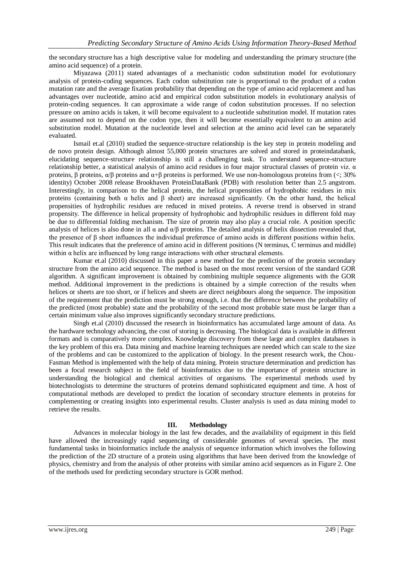the secondary structure has a high descriptive value for modeling and understanding the primary structure (the amino acid sequence) of a protein.

Miyazawa (2011) stated advantages of a mechanistic codon substitution model for evolutionary analysis of protein-coding sequences. Each codon substitution rate is proportional to the product of a codon mutation rate and the average fixation probability that depending on the type of amino acid replacement and has advantages over nucleotide, amino acid and empirical codon substitution models in evolutionary analysis of protein-coding sequences. It can approximate a wide range of codon substitution processes. If no selection pressure on amino acids is taken, it will become equivalent to a nucleotide substitution model. If mutation rates are assumed not to depend on the codon type, then it will become essentially equivalent to an amino acid substitution model. Mutation at the nucleotide level and selection at the amino acid level can be separately evaluated.

Ismail et.al (2010) studied the sequence-structure relationship is the key step in protein modeling and de novo protein design. Although almost 55,000 protein structures are solved and stored in proteindatabank, elucidating sequence-structure relationship is still a challenging task. To understand sequence-structure relationship better, a statistical analysis of amino acid residues in four major structural classes of protein viz. α proteins, β proteins,  $α/β$  proteins and  $α+β$  proteins is performed. We use non-homologous proteins from (<; 30% identity) October 2008 release Brookhaven ProteinDataBank (PDB) with resolution better than 2.5 angstrom. Interestingly, in comparison to the helical protein, the helical propensities of hydrophobic residues in mix proteins (containing both  $\alpha$  helix and  $\beta$  sheet) are increased significantly. On the other hand, the helical propensities of hydrophilic residues are reduced in mixed proteins. A reverse trend is observed in strand propensity. The difference in helical propensity of hydrophobic and hydrophilic residues in different fold may be due to differential folding mechanism. The size of protein may also play a crucial role. A position specific analysis of helices is also done in all  $\alpha$  and  $\alpha/\beta$  proteins. The detailed analysis of helix dissection revealed that, the presence of β sheet influences the individual preference of amino acids in different positions within helix. This result indicates that the preference of amino acid in different positions (N terminus, C terminus and middle) within  $\alpha$  helix are influenced by long range interactions with other structural elements.

Kumar et.al (2010) discussed in this paper a new method for the prediction of the protein secondary structure from the amino acid sequence. The method is based on the most recent version of the standard GOR algorithm. A significant improvement is obtained by combining multiple sequence alignments with the GOR method. Additional improvement in the predictions is obtained by a simple correction of the results when helices or sheets are too short, or if helices and sheets are direct neighbours along the sequence. The imposition of the requirement that the prediction must be strong enough, i.e. that the difference between the probability of the predicted (most probable) state and the probability of the second most probable state must be larger than a certain minimum value also improves significantly secondary structure predictions.

Singh et.al (2010) discussed the research in bioinformatics has accumulated large amount of data. As the hardware technology advancing, the cost of storing is decreasing. The biological data is available in different formats and is comparatively more complex. Knowledge discovery from these large and complex databases is the key problem of this era. Data mining and machine learning techniques are needed which can scale to the size of the problems and can be customized to the application of biology. In the present research work, the Chou-Fasman Method is implemented with the help of data mining. Protein structure determination and prediction has been a focal research subject in the field of bioinformatics due to the importance of protein structure in understanding the biological and chemical activities of organisms. The experimental methods used by biotechnologists to determine the structures of proteins demand sophisticated equipment and time. A host of computational methods are developed to predict the location of secondary structure elements in proteins for complementing or creating insights into experimental results. Cluster analysis is used as data mining model to retrieve the results.

#### **III. Methodology**

Advances in molecular biology in the last few decades, and the availability of equipment in this field have allowed the increasingly rapid sequencing of considerable genomes of several species. The most fundamental tasks in bioinformatics include the analysis of sequence information which involves the following the prediction of the 2D structure of a protein using algorithms that have been derived from the knowledge of physics, chemistry and from the analysis of other proteins with similar amino acid sequences as in Figure 2. One of the methods used for predicting secondary structure is GOR method.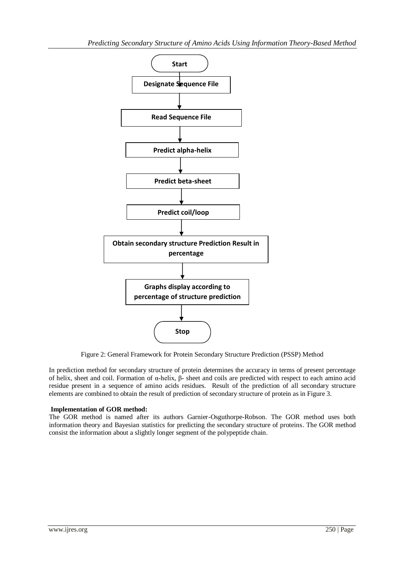

Figure 2: General Framework for Protein Secondary Structure Prediction (PSSP) Method

In prediction method for secondary structure of protein determines the accuracy in terms of present percentage of helix, sheet and coil. Formation of α-helix, β- sheet and coils are predicted with respect to each amino acid residue present in a sequence of amino acids residues. Result of the prediction of all secondary structure elements are combined to obtain the result of prediction of secondary structure of protein as in Figure 3.

## **Implementation of GOR method:**

The GOR method is named after its authors Garnier-Osguthorpe-Robson. The GOR method uses both information theory and Bayesian statistics for predicting the secondary structure of proteins. The GOR method consist the information about a slightly longer segment of the polypeptide chain.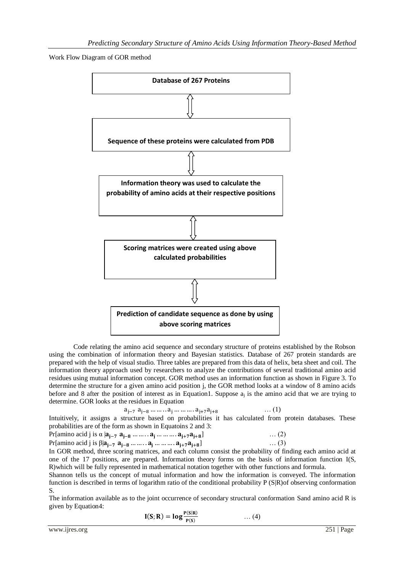Work Flow Diagram of GOR method



Code relating the amino acid sequence and secondary structure of proteins established by the Robson using the combination of information theory and Bayesian statistics. Database of 267 protein standards are prepared with the help of visual studio. Three tables are prepared from this data of helix, beta sheet and coil. The information theory approach used by researchers to analyze the contributions of several traditional amino acid residues using mutual information concept. GOR method uses an information function as shown in Figure 3. To determine the structure for a given amino acid position j, the GOR method looks at a window of 8 amino acids before and 8 after the position of interest as in Equation1. Suppose  $a_j$  is the amino acid that we are trying to determine. GOR looks at the residues in Equation

$$
a_{j-7} a_{j-8} \dots \dots a_j \dots \dots a_{j+7} a_{j+8}
$$

Intuitively, it assigns a structure based on probabilities it has calculated from protein databases. These probabilities are of the form as shown in Equatoins 2 and 3:

… (1)

Pr[amino acid j is  $\alpha |a_{i-7} a_{i-8} ... ... a_{i} ... ... a_{i+7} a_{i+8}]$  $\ldots$  (2) Pr[amino acid j is  $\beta | a_{i-7} \ a_{i-8} \dots | a_{i} \dots | a_{i+7} a_{i+8}$ ]  $\ldots$  (3)

In GOR method, three scoring matrices, and each column consist the probability of finding each amino acid at one of the 17 positions, are prepared. Information theory forms on the basis of information function I(S, R)which will be fully represented in mathematical notation together with other functions and formula.

Shannon tells us the concept of mutual information and how the information is conveyed. The information function is described in terms of logarithm ratio of the conditional probability P (S|R)of observing conformation S.

The information available as to the joint occurrence of secondary structural conformation Sand amino acid R is given by Equation4:

$$
I(S; R) = \log \frac{P(S|R)}{P(S)} \qquad \qquad \dots (4)
$$

www.ijres.org 251 | Page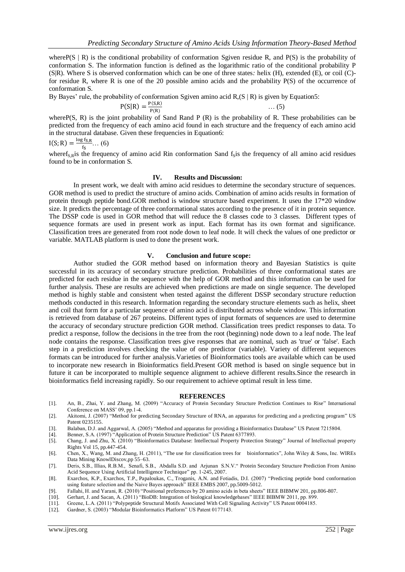where P(S | R) is the conditional probability of conformation Sgiven residue R, and P(S) is the probability of conformation S. The information function is defined as the logarithmic ratio of the conditional probability P (S|R). Where S is observed conformation which can be one of three states*:* helix (H), extended (E), or coil (C) for residue R, where R is one of the 20 possible amino acids and the probability P(S) of the occurrence of conformation S.

By Bayes' rule, the probability of conformation Sgiven amino acid R*,*(S | R) is given by Equation5:

$$
P(S|R) = \frac{P(S,R)}{P(R)}
$$

… (5)

where P(S, R) is the joint probability of Sand Rand P (R) is the probability of R. These probabilities can be predicted from the frequency of each amino acid found in each structure and the frequency of each amino acid in the structural database. Given these frequencies in Equation6:

$$
I(S; R) = \frac{\log f_{S,R}}{f_S} \dots (6)
$$

wheref<sub>S R</sub>is the frequency of amino acid Rin conformation Sand  $f<sub>SI</sub>$  is the frequency of all amino acid residues found to be in conformation S.

#### **IV. Results and Discussion:**

In present work, we dealt with amino acid residues to determine the secondary structure of sequences. GOR method is used to predict the structure of amino acids. Combination of amino acids results in formation of protein through peptide bond.GOR method is window structure based experiment. It useu the 17\*20 window size. It predicts the percentage of three conformational states according to the presence of it in protein sequence. The DSSP code is used in GOR method that will reduce the 8 classes code to 3 classes. Different types of sequence formats are used in present work as input. Each format has its own format and significance. Classification trees are generated from root node down to leaf node. It will check the values of one predictor or variable. MATLAB platform is used to done the present work.

#### **V. Conclusion and future scope:**

Author studied the GOR method based on information theory and Bayesian Statistics is quite successful in its accuracy of secondary structure prediction. Probabilities of three conformational states are predicted for each residue in the sequence with the help of GOR method and this information can be used for further analysis. These are results are achieved when predictions are made on single sequence. The developed method is highly stable and consistent when tested against the different DSSP secondary structure reduction methods conducted in this research. Information regarding the secondary structure elements such as helix, sheet and coil that form for a particular sequence of amino acid is distributed across whole window. This information is retrieved from database of 267 proteins. Different types of input formats of sequences are used to determine the accuracy of secondary structure prediction GOR method. Classification trees predict responses to data. To predict a response, follow the decisions in the tree from the root (beginning) node down to a leaf node. The leaf node contains the response. Classification trees give responses that are nominal, such as 'true' or 'false'. Each step in a prediction involves checking the value of one predictor (variable). Variety of different sequences formats can be introduced for further analysis.Varieties of Bioinformatics tools are available which can be used to incorporate new research in Bioinformatics field.Present GOR method is based on single sequence but in future it can be incorporated to multiple sequence alignment to achieve different results.Since the research in bioinformatics field increasing rapidly. So our requirement to achieve optimal result in less time.

#### **REFERENCES**

- [1]. An, B., Zhai, Y. and Zhang, M. (2009) "Accuracy of Protein Secondary Structure Prediction Continues to Rise" International Conference on MASS' 09, pp.1-4.
- [2]. Akitomi, J. (2007) "Method for predicting Secondary Structure of RNA, an apparatus for predicting and a predicting program" US Patent 0235155.
- [3]. Balaban, D.J. and Aggarwal, A. (2005) "Method and apparatus for providing a Bioinformatics Database" US Patent 7215804.
- [4]. Benner, S.A. (1997) "Application of Protein Structure Prediction" US Patent 6377893.
- [5]. Chang, J. and Zhu, X. (2010) "Bioinformatics Database: Intellectual Property Protection Strategy" Journal of Intellectual property Rights Vol 15, pp.447-454.

[6]. Chen, X., Wang, M. and Zhang, H. (2011), "The use for classification trees for bioinformatics", John Wiley & Sons, Inc. WIREs Data Mining KnowlDiscov,pp 55–63.

[7]. Deris, S.B., Illias, R.B.M., Senafi, S.B., Abdalla S.D. and Arjunan S.N.V." Protein Secondary Structure Prediction From Amino Acid Sequence Using Artificial Intelligence Technique" pp. 1-245, 2007.

[8]. [Exarchos, K.P.,](http://ieeexplore.ieee.org/search/searchresult.jsp?searchWithin=p_Authors:.QT.Exarchos,%20K.P..QT.&newsearch=partialPref) [Exarchos, T.P.,](http://ieeexplore.ieee.org/search/searchresult.jsp?searchWithin=p_Authors:.QT.Exarchos,%20K.P..QT.&newsearch=partialPref) [Papaloukas, C.,](http://ieeexplore.ieee.org/search/searchresult.jsp?searchWithin=p_Authors:.QT.Papaloukas,%20C..QT.&newsearch=partialPref) [Troganis, A.N. and](http://ieeexplore.ieee.org/search/searchresult.jsp?searchWithin=p_Authors:.QT.Papaloukas,%20C..QT.&newsearch=partialPref) Fotiadis, D.I. (2007) "Predicting peptide bond conformation using feature selection and the Naive Bayes approach" IEEE EMBS 2007, pp.5009-5012.

- [9]. Fallahi, H. and Yarani, R. (2010) "Positional preferences by 20 amino acids in beta sheets" IEEE BIBMW 201, pp.806-807.
- [10]. Gerhart, J. an[d Sacan, A. \(](http://ieeexplore.ieee.org/search/searchresult.jsp?searchWithin=p_Authors:.QT.Sacan,%20A..QT.&newsearch=partialPref)2011) "BioDB: Integration of biological knowledgebases" IEEE BIBMW 2011, pp. 899.

[11]. Greene, L.A. (2011) "Polypeptide Structural Motifs Associated With Cell Signaling Activity" US Patent 0004185.

[12]. Gardner, S. (2003) "Modular Bioinformatics Platform" US Patent 0177143.